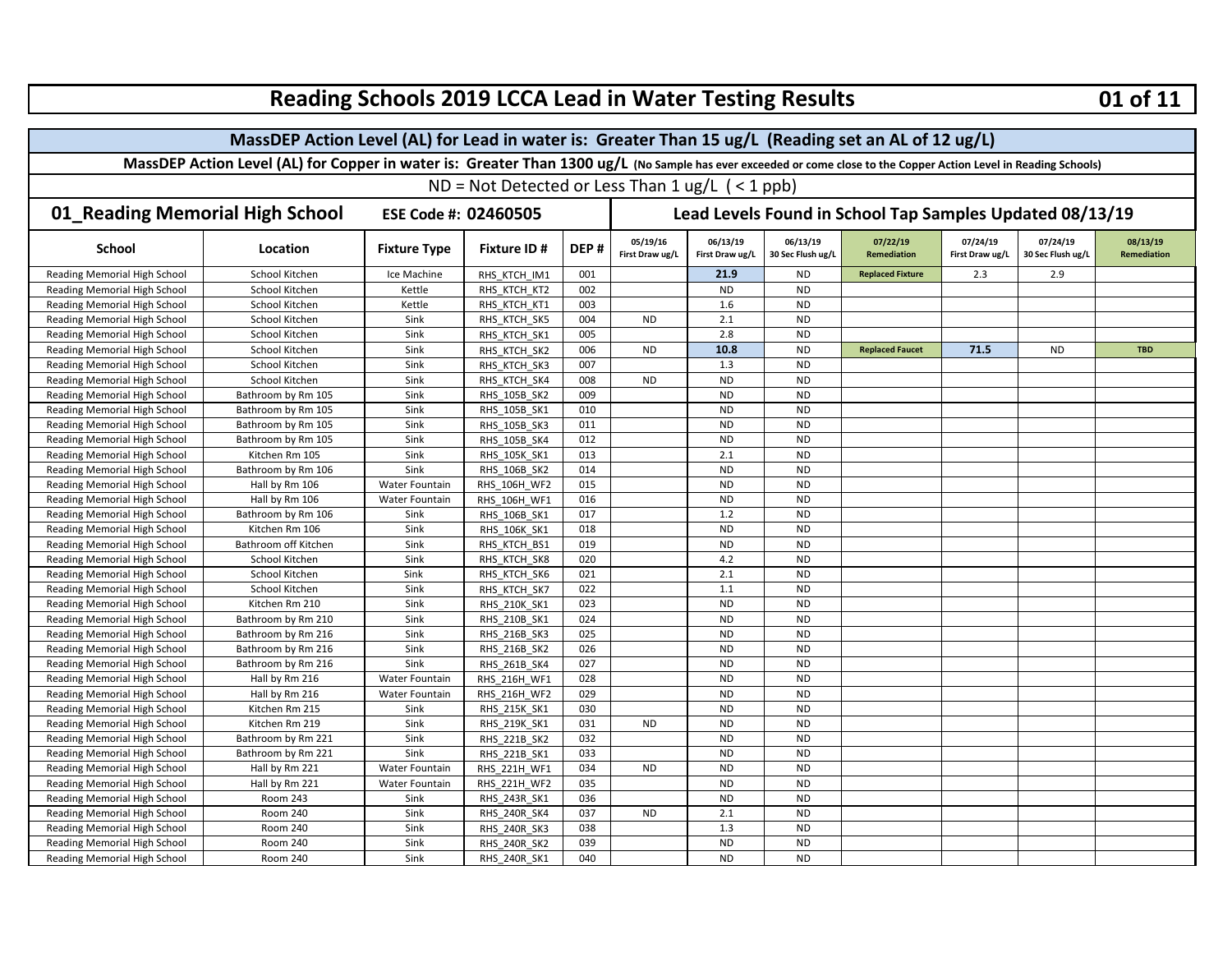| Reading Schools 2019 LCCA Lead in Water Testing Results<br>01 of 11                                 |                                                                                                                                                                    |                                                          |                                                           |      |                             |                             |                               |                                |                             |                               |                                |  |  |
|-----------------------------------------------------------------------------------------------------|--------------------------------------------------------------------------------------------------------------------------------------------------------------------|----------------------------------------------------------|-----------------------------------------------------------|------|-----------------------------|-----------------------------|-------------------------------|--------------------------------|-----------------------------|-------------------------------|--------------------------------|--|--|
| MassDEP Action Level (AL) for Lead in water is: Greater Than 15 ug/L (Reading set an AL of 12 ug/L) |                                                                                                                                                                    |                                                          |                                                           |      |                             |                             |                               |                                |                             |                               |                                |  |  |
|                                                                                                     | MassDEP Action Level (AL) for Copper in water is: Greater Than 1300 ug/L (No Sample has ever exceeded or come close to the Copper Action Level in Reading Schools) |                                                          |                                                           |      |                             |                             |                               |                                |                             |                               |                                |  |  |
|                                                                                                     |                                                                                                                                                                    |                                                          | ND = Not Detected or Less Than $1 \text{ ug/L}$ (< 1 ppb) |      |                             |                             |                               |                                |                             |                               |                                |  |  |
|                                                                                                     |                                                                                                                                                                    |                                                          |                                                           |      |                             |                             |                               |                                |                             |                               |                                |  |  |
| 01_Reading Memorial High School                                                                     |                                                                                                                                                                    | Lead Levels Found in School Tap Samples Updated 08/13/19 |                                                           |      |                             |                             |                               |                                |                             |                               |                                |  |  |
| <b>School</b>                                                                                       | Location                                                                                                                                                           | <b>Fixture Type</b>                                      | <b>Fixture ID#</b>                                        | DEP# | 05/19/16<br>First Draw ug/L | 06/13/19<br>First Draw ug/L | 06/13/19<br>30 Sec Flush ug/L | 07/22/19<br><b>Remediation</b> | 07/24/19<br>First Draw ug/L | 07/24/19<br>30 Sec Flush ug/L | 08/13/19<br><b>Remediation</b> |  |  |
| Reading Memorial High School                                                                        | School Kitchen                                                                                                                                                     | Ice Machine                                              | RHS KTCH IM1                                              | 001  |                             | 21.9                        | <b>ND</b>                     | <b>Replaced Fixture</b>        | 2.3                         | 2.9                           |                                |  |  |
| Reading Memorial High School                                                                        | School Kitchen                                                                                                                                                     | Kettle                                                   | RHS KTCH KT2                                              | 002  |                             | <b>ND</b>                   | <b>ND</b>                     |                                |                             |                               |                                |  |  |
| Reading Memorial High School                                                                        | School Kitchen                                                                                                                                                     | Kettle                                                   | RHS KTCH KT1                                              | 003  |                             | 1.6                         | <b>ND</b>                     |                                |                             |                               |                                |  |  |
| Reading Memorial High School                                                                        | School Kitchen                                                                                                                                                     | Sink                                                     | RHS KTCH SK5                                              | 004  | <b>ND</b>                   | 2.1                         | <b>ND</b>                     |                                |                             |                               |                                |  |  |
| Reading Memorial High School                                                                        | School Kitchen                                                                                                                                                     | Sink                                                     | RHS KTCH SK1                                              | 005  |                             | 2.8                         | <b>ND</b>                     |                                |                             |                               |                                |  |  |
| Reading Memorial High School                                                                        | School Kitchen                                                                                                                                                     | Sink                                                     | RHS KTCH SK2                                              | 006  | <b>ND</b>                   | 10.8                        | <b>ND</b>                     | <b>Replaced Faucet</b>         | 71.5                        | <b>ND</b>                     | <b>TBD</b>                     |  |  |
| Reading Memorial High School                                                                        | School Kitchen                                                                                                                                                     | Sink                                                     | RHS KTCH SK3                                              | 007  |                             | 1.3                         | <b>ND</b>                     |                                |                             |                               |                                |  |  |
| Reading Memorial High School                                                                        | School Kitchen                                                                                                                                                     | Sink                                                     | RHS KTCH SK4                                              | 008  | <b>ND</b>                   | <b>ND</b>                   | <b>ND</b>                     |                                |                             |                               |                                |  |  |
| Reading Memorial High School                                                                        | Bathroom by Rm 105                                                                                                                                                 | Sink                                                     | RHS 105B SK2                                              | 009  |                             | <b>ND</b>                   | <b>ND</b>                     |                                |                             |                               |                                |  |  |
| Reading Memorial High School                                                                        | Bathroom by Rm 105                                                                                                                                                 | Sink                                                     | RHS_105B_SK1                                              | 010  |                             | <b>ND</b>                   | <b>ND</b>                     |                                |                             |                               |                                |  |  |
| Reading Memorial High School                                                                        | Bathroom by Rm 105                                                                                                                                                 | Sink                                                     | RHS 105B SK3                                              | 011  |                             | <b>ND</b>                   | <b>ND</b>                     |                                |                             |                               |                                |  |  |
| Reading Memorial High School                                                                        | Bathroom by Rm 105                                                                                                                                                 | Sink                                                     | RHS 105B SK4                                              | 012  |                             | <b>ND</b>                   | <b>ND</b>                     |                                |                             |                               |                                |  |  |
| Reading Memorial High School                                                                        | Kitchen Rm 105                                                                                                                                                     | Sink                                                     | RHS 105K SK1                                              | 013  |                             | 2.1                         | <b>ND</b>                     |                                |                             |                               |                                |  |  |
| Reading Memorial High School                                                                        | Bathroom by Rm 106                                                                                                                                                 | Sink                                                     | RHS 106B SK2                                              | 014  |                             | <b>ND</b>                   | <b>ND</b>                     |                                |                             |                               |                                |  |  |
| Reading Memorial High School                                                                        | Hall by Rm 106                                                                                                                                                     | Water Fountain                                           | RHS 106H WF2                                              | 015  |                             | <b>ND</b>                   | <b>ND</b>                     |                                |                             |                               |                                |  |  |
| Reading Memorial High School                                                                        | Hall by Rm 106                                                                                                                                                     | Water Fountain                                           | RHS 106H WF1                                              | 016  |                             | <b>ND</b>                   | <b>ND</b>                     |                                |                             |                               |                                |  |  |
| Reading Memorial High School                                                                        | Bathroom by Rm 106                                                                                                                                                 | Sink                                                     | RHS 106B SK1                                              | 017  |                             | 1.2                         | <b>ND</b>                     |                                |                             |                               |                                |  |  |
| Reading Memorial High School                                                                        | Kitchen Rm 106                                                                                                                                                     | Sink                                                     | RHS 106K SK1                                              | 018  |                             | <b>ND</b>                   | <b>ND</b>                     |                                |                             |                               |                                |  |  |
| Reading Memorial High School                                                                        | Bathroom off Kitchen                                                                                                                                               | Sink                                                     | RHS KTCH BS1                                              | 019  |                             | <b>ND</b>                   | <b>ND</b>                     |                                |                             |                               |                                |  |  |
| Reading Memorial High School                                                                        | School Kitchen                                                                                                                                                     | Sink                                                     | RHS KTCH SK8                                              | 020  |                             | 4.2                         | <b>ND</b>                     |                                |                             |                               |                                |  |  |
| Reading Memorial High School                                                                        | School Kitchen                                                                                                                                                     | Sink                                                     | RHS KTCH SK6                                              | 021  |                             | 2.1                         | <b>ND</b>                     |                                |                             |                               |                                |  |  |
| Reading Memorial High School                                                                        | School Kitchen                                                                                                                                                     | Sink                                                     | RHS KTCH SK7                                              | 022  |                             | $1.1\,$                     | <b>ND</b>                     |                                |                             |                               |                                |  |  |
| Reading Memorial High School                                                                        | Kitchen Rm 210                                                                                                                                                     | Sink                                                     | RHS 210K SK1                                              | 023  |                             | <b>ND</b>                   | <b>ND</b>                     |                                |                             |                               |                                |  |  |
| Reading Memorial High School                                                                        | Bathroom by Rm 210                                                                                                                                                 | Sink                                                     | RHS 210B SK1                                              | 024  |                             | <b>ND</b>                   | <b>ND</b>                     |                                |                             |                               |                                |  |  |
| Reading Memorial High School                                                                        | Bathroom by Rm 216                                                                                                                                                 | Sink                                                     | RHS 216B SK3                                              | 025  |                             | <b>ND</b>                   | <b>ND</b>                     |                                |                             |                               |                                |  |  |
| Reading Memorial High School                                                                        | Bathroom by Rm 216                                                                                                                                                 | Sink                                                     | RHS 216B SK2                                              | 026  |                             | <b>ND</b>                   | <b>ND</b>                     |                                |                             |                               |                                |  |  |
| Reading Memorial High School                                                                        | Bathroom by Rm 216                                                                                                                                                 | Sink                                                     | RHS 261B SK4                                              | 027  |                             | <b>ND</b>                   | <b>ND</b>                     |                                |                             |                               |                                |  |  |
| Reading Memorial High School                                                                        | Hall by Rm 216                                                                                                                                                     | Water Fountain                                           | RHS 216H WF1                                              | 028  |                             | <b>ND</b>                   | <b>ND</b>                     |                                |                             |                               |                                |  |  |
| Reading Memorial High School                                                                        | Hall by Rm 216                                                                                                                                                     | Water Fountain                                           | RHS 216H WF2                                              | 029  |                             | <b>ND</b>                   | <b>ND</b>                     |                                |                             |                               |                                |  |  |
| Reading Memorial High School                                                                        | Kitchen Rm 215                                                                                                                                                     | Sink                                                     | RHS 215K SK1                                              | 030  |                             | <b>ND</b>                   | <b>ND</b>                     |                                |                             |                               |                                |  |  |
| Reading Memorial High School                                                                        | Kitchen Rm 219                                                                                                                                                     | Sink                                                     | RHS 219K SK1                                              | 031  | <b>ND</b>                   | <b>ND</b>                   | <b>ND</b>                     |                                |                             |                               |                                |  |  |
| Reading Memorial High School                                                                        | Bathroom by Rm 221                                                                                                                                                 | Sink                                                     | RHS 221B SK2                                              | 032  |                             | <b>ND</b>                   | <b>ND</b>                     |                                |                             |                               |                                |  |  |
| Reading Memorial High School                                                                        | Bathroom by Rm 221                                                                                                                                                 | Sink                                                     | RHS 221B SK1                                              | 033  |                             | <b>ND</b>                   | <b>ND</b>                     |                                |                             |                               |                                |  |  |
| Reading Memorial High School                                                                        | Hall by Rm 221                                                                                                                                                     | Water Fountain                                           | RHS 221H WF1                                              | 034  | <b>ND</b>                   | <b>ND</b>                   | <b>ND</b>                     |                                |                             |                               |                                |  |  |
| Reading Memorial High School                                                                        | Hall by Rm 221                                                                                                                                                     | Water Fountain                                           | RHS 221H WF2                                              | 035  |                             | <b>ND</b>                   | <b>ND</b>                     |                                |                             |                               |                                |  |  |
| Reading Memorial High School                                                                        | Room 243                                                                                                                                                           | Sink                                                     | RHS 243R SK1                                              | 036  |                             | <b>ND</b>                   | <b>ND</b>                     |                                |                             |                               |                                |  |  |
| Reading Memorial High School                                                                        | <b>Room 240</b>                                                                                                                                                    | Sink                                                     | RHS 240R SK4                                              | 037  | <b>ND</b>                   | 2.1                         | <b>ND</b>                     |                                |                             |                               |                                |  |  |
| Reading Memorial High School                                                                        | <b>Room 240</b>                                                                                                                                                    | Sink                                                     | <b>RHS 240R SK3</b>                                       | 038  |                             | $1.3\,$                     | <b>ND</b>                     |                                |                             |                               |                                |  |  |
| Reading Memorial High School                                                                        | Room 240                                                                                                                                                           | Sink                                                     | <b>RHS 240R SK2</b>                                       | 039  |                             | ND                          | <b>ND</b>                     |                                |                             |                               |                                |  |  |
| Reading Memorial High School                                                                        | <b>Room 240</b>                                                                                                                                                    | Sink                                                     | RHS 240R SK1                                              | 040  |                             | <b>ND</b>                   | <b>ND</b>                     |                                |                             |                               |                                |  |  |

## **Reading Schools 2019 LCCA Lead in Water Testing Results**

## **01 of 11**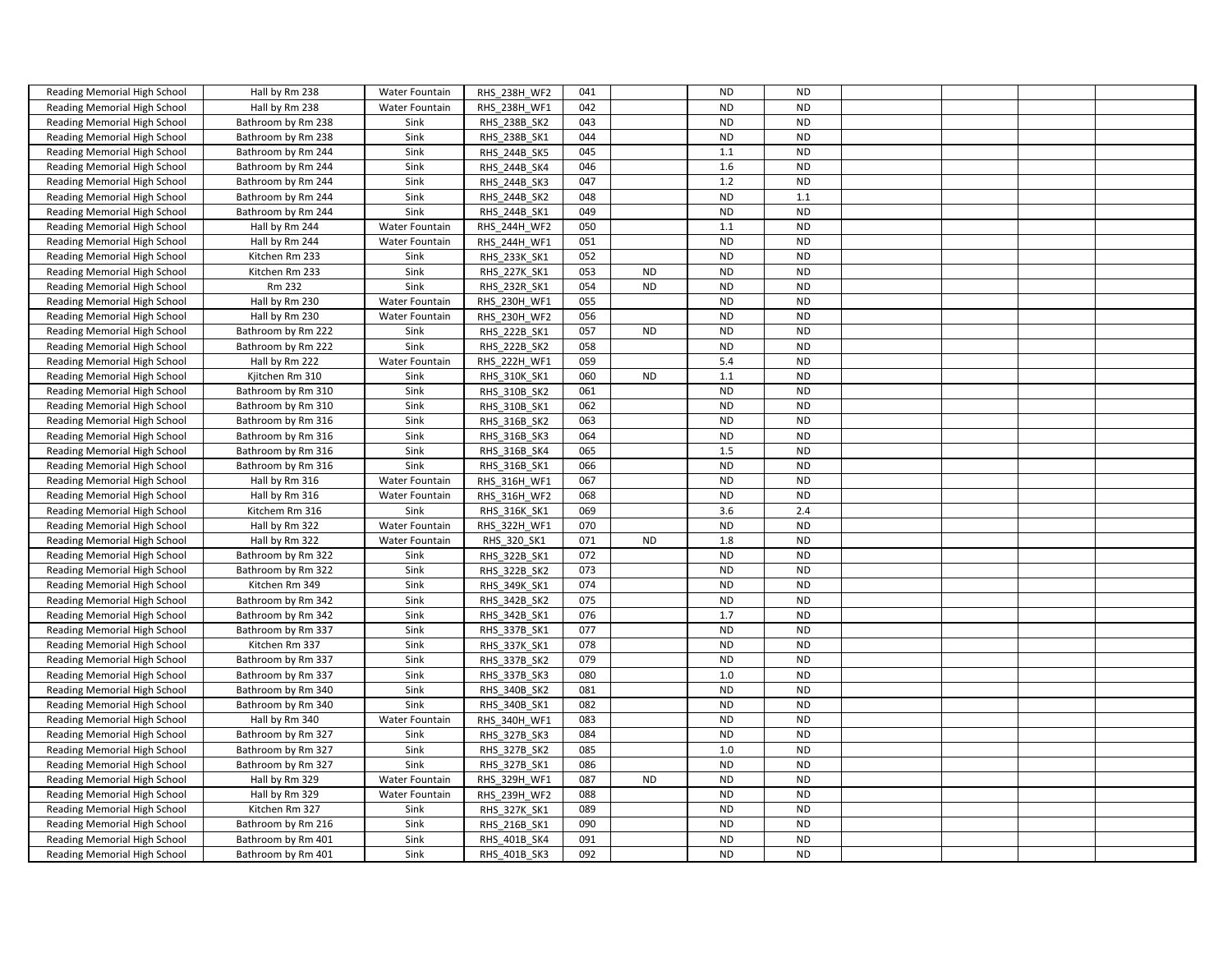| Reading Memorial High School | Hall by Rm 238<br>Hall by Rm 238 | <b>Water Fountain</b> | <b>RHS 238H WF2</b> | 041<br>042 |           | <b>ND</b><br><b>ND</b> | <b>ND</b><br><b>ND</b> |  |  |
|------------------------------|----------------------------------|-----------------------|---------------------|------------|-----------|------------------------|------------------------|--|--|
| Reading Memorial High School |                                  | Water Fountain        | RHS 238H WF1        | 043        |           | <b>ND</b>              | <b>ND</b>              |  |  |
| Reading Memorial High School | Bathroom by Rm 238               | Sink                  | RHS_238B_SK2        | 044        |           | <b>ND</b>              | <b>ND</b>              |  |  |
| Reading Memorial High School | Bathroom by Rm 238               | Sink                  | RHS_238B_SK1        |            |           |                        | <b>ND</b>              |  |  |
| Reading Memorial High School | Bathroom by Rm 244               | Sink                  | RHS 244B SK5        | 045        |           | 1.1                    |                        |  |  |
| Reading Memorial High School | Bathroom by Rm 244               | Sink                  | RHS 244B SK4        | 046        |           | 1.6                    | <b>ND</b>              |  |  |
| Reading Memorial High School | Bathroom by Rm 244               | Sink                  | RHS 244B SK3        | 047        |           | 1.2                    | <b>ND</b>              |  |  |
| Reading Memorial High School | Bathroom by Rm 244               | Sink                  | RHS 244B SK2        | 048        |           | <b>ND</b>              | 1.1                    |  |  |
| Reading Memorial High School | Bathroom by Rm 244               | Sink                  | RHS 244B SK1        | 049        |           | <b>ND</b>              | <b>ND</b>              |  |  |
| Reading Memorial High School | Hall by Rm 244                   | Water Fountain        | RHS 244H WF2        | 050        |           | 1.1                    | <b>ND</b>              |  |  |
| Reading Memorial High School | Hall by Rm 244                   | Water Fountain        | RHS 244H WF1        | 051        |           | <b>ND</b>              | <b>ND</b>              |  |  |
| Reading Memorial High School | Kitchen Rm 233                   | Sink                  | RHS 233K SK1        | 052        |           | <b>ND</b>              | <b>ND</b>              |  |  |
| Reading Memorial High School | Kitchen Rm 233                   | Sink                  | RHS_227K_SK1        | 053        | <b>ND</b> | <b>ND</b>              | <b>ND</b>              |  |  |
| Reading Memorial High School | Rm 232                           | Sink                  | RHS_232R_SK1        | 054        | <b>ND</b> | <b>ND</b>              | <b>ND</b>              |  |  |
| Reading Memorial High School | Hall by Rm 230                   | Water Fountain        | RHS 230H WF1        | 055        |           | <b>ND</b>              | <b>ND</b>              |  |  |
| Reading Memorial High School | Hall by Rm 230                   | Water Fountain        | RHS 230H WF2        | 056        |           | <b>ND</b>              | <b>ND</b>              |  |  |
| Reading Memorial High School | Bathroom by Rm 222               | Sink                  | RHS_222B_SK1        | 057        | <b>ND</b> | <b>ND</b>              | <b>ND</b>              |  |  |
| Reading Memorial High School | Bathroom by Rm 222               | Sink                  | RHS 222B SK2        | 058        |           | <b>ND</b>              | <b>ND</b>              |  |  |
| Reading Memorial High School | Hall by Rm 222                   | Water Fountain        | RHS 222H WF1        | 059        |           | 5.4                    | <b>ND</b>              |  |  |
| Reading Memorial High School | Kjitchen Rm 310                  | Sink                  | RHS 310K SK1        | 060        | <b>ND</b> | 1.1                    | <b>ND</b>              |  |  |
| Reading Memorial High School | Bathroom by Rm 310               | Sink                  | RHS 310B SK2        | 061        |           | ND                     | <b>ND</b>              |  |  |
| Reading Memorial High School | Bathroom by Rm 310               | Sink                  | RHS 310B SK1        | 062        |           | <b>ND</b>              | <b>ND</b>              |  |  |
| Reading Memorial High School | Bathroom by Rm 316               | Sink                  | RHS 316B SK2        | 063        |           | <b>ND</b>              | <b>ND</b>              |  |  |
| Reading Memorial High School | Bathroom by Rm 316               | Sink                  | RHS 316B SK3        | 064        |           | <b>ND</b>              | <b>ND</b>              |  |  |
| Reading Memorial High School | Bathroom by Rm 316               | Sink                  | RHS 316B SK4        | 065        |           | 1.5                    | <b>ND</b>              |  |  |
| Reading Memorial High School | Bathroom by Rm 316               | Sink                  | RHS_316B_SK1        | 066        |           | <b>ND</b>              | <b>ND</b>              |  |  |
| Reading Memorial High School | Hall by Rm 316                   | <b>Water Fountain</b> | RHS 316H WF1        | 067        |           | <b>ND</b>              | <b>ND</b>              |  |  |
| Reading Memorial High School | Hall by Rm 316                   | Water Fountain        | RHS 316H WF2        | 068        |           | <b>ND</b>              | <b>ND</b>              |  |  |
| Reading Memorial High School | Kitchem Rm 316                   | Sink                  | RHS 316K SK1        | 069        |           | 3.6                    | 2.4                    |  |  |
| Reading Memorial High School | Hall by Rm 322                   | Water Fountain        | RHS 322H WF1        | 070        |           | <b>ND</b>              | <b>ND</b>              |  |  |
| Reading Memorial High School | Hall by Rm 322                   | Water Fountain        | RHS 320 SK1         | 071        | ND        | 1.8                    | <b>ND</b>              |  |  |
| Reading Memorial High School | Bathroom by Rm 322               | Sink                  | RHS 322B SK1        | 072        |           | <b>ND</b>              | <b>ND</b>              |  |  |
| Reading Memorial High School | Bathroom by Rm 322               | Sink                  | RHS 322B SK2        | 073        |           | <b>ND</b>              | <b>ND</b>              |  |  |
| Reading Memorial High School | Kitchen Rm 349                   | Sink                  | RHS 349K SK1        | 074        |           | <b>ND</b>              | <b>ND</b>              |  |  |
| Reading Memorial High School | Bathroom by Rm 342               | Sink                  | RHS 342B SK2        | 075        |           | <b>ND</b>              | <b>ND</b>              |  |  |
| Reading Memorial High School | Bathroom by Rm 342               | Sink                  | RHS_342B_SK1        | 076        |           | 1.7                    | <b>ND</b>              |  |  |
| Reading Memorial High School | Bathroom by Rm 337               | Sink                  | RHS 337B SK1        | 077        |           | <b>ND</b>              | <b>ND</b>              |  |  |
| Reading Memorial High School | Kitchen Rm 337                   | Sink                  | RHS 337K SK1        | 078        |           | <b>ND</b>              | <b>ND</b>              |  |  |
| Reading Memorial High School | Bathroom by Rm 337               | Sink                  | RHS 337B SK2        | 079        |           | <b>ND</b>              | <b>ND</b>              |  |  |
| Reading Memorial High School | Bathroom by Rm 337               | Sink                  | RHS_337B_SK3        | 080        |           | 1.0                    | <b>ND</b>              |  |  |
| Reading Memorial High School | Bathroom by Rm 340               | Sink                  | RHS 340B SK2        | 081        |           | <b>ND</b>              | <b>ND</b>              |  |  |
| Reading Memorial High School | Bathroom by Rm 340               | Sink                  | RHS 340B SK1        | 082        |           | <b>ND</b>              | <b>ND</b>              |  |  |
| Reading Memorial High School | Hall by Rm 340                   | Water Fountain        | RHS_340H_WF1        | 083        |           | <b>ND</b>              | <b>ND</b>              |  |  |
| Reading Memorial High School | Bathroom by Rm 327               | Sink                  | RHS 327B SK3        | 084        |           | <b>ND</b>              | <b>ND</b>              |  |  |
| Reading Memorial High School | Bathroom by Rm 327               | Sink                  | RHS 327B SK2        | 085        |           | 1.0                    | <b>ND</b>              |  |  |
| Reading Memorial High School | Bathroom by Rm 327               | Sink                  | RHS_327B_SK1        | 086        |           | <b>ND</b>              | <b>ND</b>              |  |  |
| Reading Memorial High School | Hall by Rm 329                   | Water Fountain        | RHS 329H WF1        | 087        | <b>ND</b> | <b>ND</b>              | <b>ND</b>              |  |  |
| Reading Memorial High School | Hall by Rm 329                   | Water Fountain        | RHS 239H WF2        | 088        |           | <b>ND</b>              | <b>ND</b>              |  |  |
| Reading Memorial High School | Kitchen Rm 327                   | Sink                  | RHS_327K_SK1        | 089        |           | <b>ND</b>              | <b>ND</b>              |  |  |
| Reading Memorial High School | Bathroom by Rm 216               | Sink                  | RHS 216B SK1        | 090        |           | <b>ND</b>              | <b>ND</b>              |  |  |
| Reading Memorial High School | Bathroom by Rm 401               | Sink                  | RHS 401B SK4        | 091        |           | <b>ND</b>              | <b>ND</b>              |  |  |
| Reading Memorial High School | Bathroom by Rm 401               | Sink                  | RHS 401B SK3        | 092        |           | <b>ND</b>              | <b>ND</b>              |  |  |
|                              |                                  |                       |                     |            |           |                        |                        |  |  |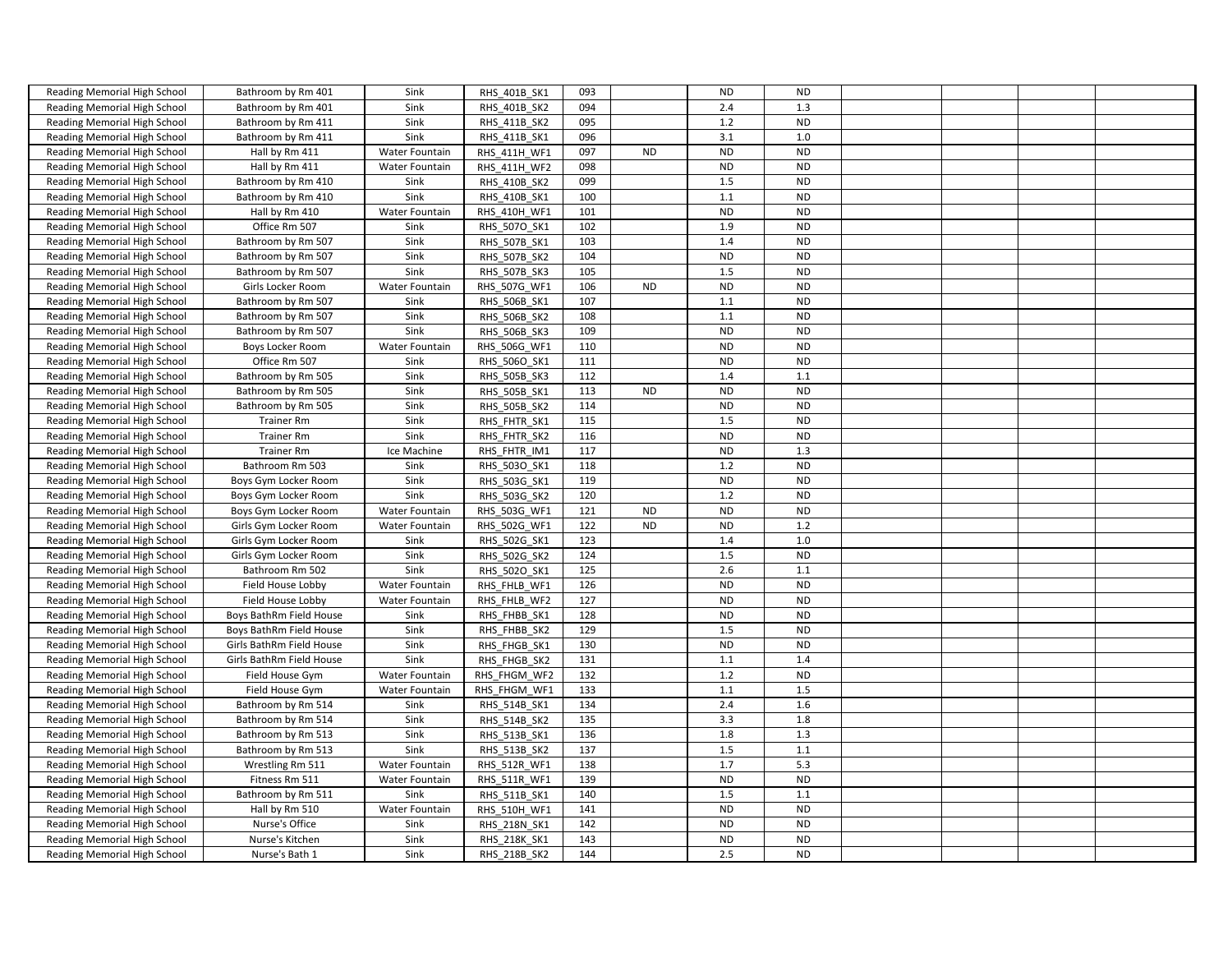| Reading Memorial High School | Bathroom by Rm 401       | Sink                  | RHS 401B SK1        | 093 |           | <b>ND</b>  | <b>ND</b> |  |  |
|------------------------------|--------------------------|-----------------------|---------------------|-----|-----------|------------|-----------|--|--|
| Reading Memorial High School | Bathroom by Rm 401       | Sink                  | RHS 401B SK2        | 094 |           | 2.4        | 1.3       |  |  |
| Reading Memorial High School | Bathroom by Rm 411       | Sink                  | RHS_411B_SK2        | 095 |           | 1.2        | <b>ND</b> |  |  |
| Reading Memorial High School | Bathroom by Rm 411       | Sink                  | RHS 411B SK1        | 096 |           | 3.1        | 1.0       |  |  |
| Reading Memorial High School | Hall by Rm 411           | Water Fountain        | RHS 411H WF1        | 097 | <b>ND</b> | <b>ND</b>  | <b>ND</b> |  |  |
| Reading Memorial High School | Hall by Rm 411           | Water Fountain        | RHS_411H_WF2        | 098 |           | <b>ND</b>  | <b>ND</b> |  |  |
| Reading Memorial High School | Bathroom by Rm 410       | Sink                  | RHS_410B_SK2        | 099 |           | 1.5        | <b>ND</b> |  |  |
| Reading Memorial High School | Bathroom by Rm 410       | Sink                  | RHS 410B SK1        | 100 |           | 1.1        | <b>ND</b> |  |  |
| Reading Memorial High School | Hall by Rm 410           | Water Fountain        | RHS 410H WF1        | 101 |           | <b>ND</b>  | <b>ND</b> |  |  |
| Reading Memorial High School | Office Rm 507            | Sink                  | RHS 5070 SK1        | 102 |           | 1.9        | <b>ND</b> |  |  |
| Reading Memorial High School | Bathroom by Rm 507       | Sink                  | RHS 507B SK1        | 103 |           | 1.4        | <b>ND</b> |  |  |
| Reading Memorial High School | Bathroom by Rm 507       | Sink                  | RHS_507B_SK2        | 104 |           | <b>ND</b>  | <b>ND</b> |  |  |
| Reading Memorial High School | Bathroom by Rm 507       | Sink                  | RHS 507B SK3        | 105 |           | 1.5        | <b>ND</b> |  |  |
| Reading Memorial High School | Girls Locker Room        | Water Fountain        | RHS 507G WF1        | 106 | <b>ND</b> | <b>ND</b>  | <b>ND</b> |  |  |
| Reading Memorial High School | Bathroom by Rm 507       | Sink                  | RHS 506B SK1        | 107 |           | 1.1        | <b>ND</b> |  |  |
| Reading Memorial High School | Bathroom by Rm 507       | Sink                  | <b>RHS 506B SK2</b> | 108 |           | 1.1        | <b>ND</b> |  |  |
| Reading Memorial High School | Bathroom by Rm 507       | Sink                  | RHS 506B SK3        | 109 |           | <b>ND</b>  | <b>ND</b> |  |  |
| Reading Memorial High School | Boys Locker Room         | Water Fountain        | RHS_506G_WF1        | 110 |           | <b>ND</b>  | <b>ND</b> |  |  |
| Reading Memorial High School | Office Rm 507            | Sink                  | RHS 5060 SK1        | 111 |           | <b>ND</b>  | <b>ND</b> |  |  |
| Reading Memorial High School | Bathroom by Rm 505       | Sink                  | RHS 505B SK3        | 112 |           | 1.4        | 1.1       |  |  |
| Reading Memorial High School | Bathroom by Rm 505       | Sink                  | RHS_505B_SK1        | 113 | <b>ND</b> | $\sf ND$   | <b>ND</b> |  |  |
| Reading Memorial High School | Bathroom by Rm 505       | Sink                  | RHS_505B_SK2        | 114 |           | <b>ND</b>  | <b>ND</b> |  |  |
| Reading Memorial High School | <b>Trainer Rm</b>        | Sink                  | RHS FHTR SK1        | 115 |           | 1.5        | <b>ND</b> |  |  |
| Reading Memorial High School | <b>Trainer Rm</b>        | Sink                  | RHS FHTR SK2        | 116 |           | ND         | <b>ND</b> |  |  |
| Reading Memorial High School | <b>Trainer Rm</b>        | Ice Machine           | RHS FHTR IM1        | 117 |           | <b>ND</b>  | 1.3       |  |  |
| Reading Memorial High School | Bathroom Rm 503          | Sink                  | RHS 5030 SK1        | 118 |           | 1.2        | <b>ND</b> |  |  |
| Reading Memorial High School | Boys Gym Locker Room     | Sink                  | RHS 503G SK1        | 119 |           | <b>ND</b>  | <b>ND</b> |  |  |
| Reading Memorial High School | Boys Gym Locker Room     | Sink                  | RHS_503G_SK2        | 120 |           | 1.2        | <b>ND</b> |  |  |
| Reading Memorial High School | Boys Gym Locker Room     | Water Fountain        | RHS 503G WF1        | 121 | <b>ND</b> | <b>ND</b>  | <b>ND</b> |  |  |
| Reading Memorial High School | Girls Gym Locker Room    | Water Fountain        | RHS 502G WF1        | 122 | <b>ND</b> | <b>ND</b>  | 1.2       |  |  |
| Reading Memorial High School | Girls Gym Locker Room    | Sink                  | RHS_502G_SK1        | 123 |           | 1.4        | 1.0       |  |  |
| Reading Memorial High School | Girls Gym Locker Room    | Sink                  | RHS_502G_SK2        | 124 |           | 1.5        | <b>ND</b> |  |  |
| Reading Memorial High School | Bathroom Rm 502          | Sink                  | RHS 5020 SK1        | 125 |           | 2.6        | 1.1       |  |  |
| Reading Memorial High School | Field House Lobby        | <b>Water Fountain</b> | RHS_FHLB_WF1        | 126 |           | <b>ND</b>  | <b>ND</b> |  |  |
| Reading Memorial High School | Field House Lobby        | Water Fountain        | RHS FHLB WF2        | 127 |           | ${\sf ND}$ | <b>ND</b> |  |  |
| Reading Memorial High School | Boys BathRm Field House  | Sink                  | RHS_FHBB_SK1        | 128 |           | <b>ND</b>  | <b>ND</b> |  |  |
| Reading Memorial High School | Boys BathRm Field House  | Sink                  | RHS FHBB SK2        | 129 |           | 1.5        | <b>ND</b> |  |  |
| Reading Memorial High School | Girls BathRm Field House | Sink                  | RHS FHGB SK1        | 130 |           | <b>ND</b>  | <b>ND</b> |  |  |
| Reading Memorial High School | Girls BathRm Field House | Sink                  | RHS FHGB SK2        | 131 |           | 1.1        | 1.4       |  |  |
| Reading Memorial High School | Field House Gym          | Water Fountain        | RHS FHGM WF2        | 132 |           | 1.2        | <b>ND</b> |  |  |
| Reading Memorial High School | Field House Gym          | <b>Water Fountain</b> | RHS FHGM WF1        | 133 |           | 1.1        | 1.5       |  |  |
| Reading Memorial High School | Bathroom by Rm 514       | Sink                  | RHS_514B_SK1        | 134 |           | 2.4        | 1.6       |  |  |
| Reading Memorial High School | Bathroom by Rm 514       | Sink                  | RHS_514B_SK2        | 135 |           | 3.3        | 1.8       |  |  |
| Reading Memorial High School | Bathroom by Rm 513       | Sink                  | RHS_513B_SK1        | 136 |           | 1.8        | 1.3       |  |  |
| Reading Memorial High School | Bathroom by Rm 513       | Sink                  | RHS 513B SK2        | 137 |           | 1.5        | 1.1       |  |  |
| Reading Memorial High School | Wrestling Rm 511         | Water Fountain        | RHS_512R_WF1        | 138 |           | 1.7        | 5.3       |  |  |
| Reading Memorial High School | Fitness Rm 511           | Water Fountain        | RHS 511R WF1        | 139 |           | <b>ND</b>  | <b>ND</b> |  |  |
| Reading Memorial High School | Bathroom by Rm 511       | Sink                  | RHS 511B SK1        | 140 |           | 1.5        | 1.1       |  |  |
| Reading Memorial High School | Hall by Rm 510           | Water Fountain        | RHS_510H_WF1        | 141 |           | <b>ND</b>  | <b>ND</b> |  |  |
| Reading Memorial High School | Nurse's Office           | Sink                  | RHS 218N SK1        | 142 |           | <b>ND</b>  | <b>ND</b> |  |  |
| Reading Memorial High School | Nurse's Kitchen          | Sink                  | RHS 218K SK1        | 143 |           | <b>ND</b>  | <b>ND</b> |  |  |
| Reading Memorial High School | Nurse's Bath 1           | Sink                  | RHS 218B SK2        | 144 |           | 2.5        | <b>ND</b> |  |  |